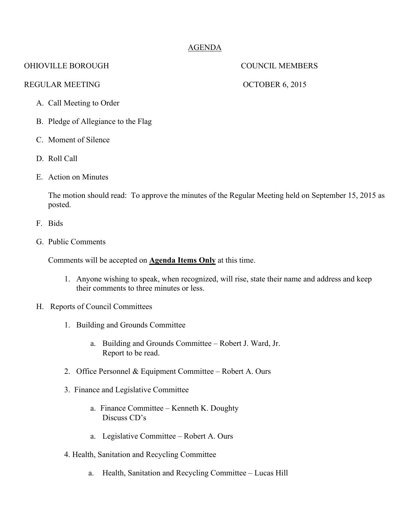# AGENDA

## OHIOVILLE BOROUGH COUNCIL MEMBERS

### REGULAR MEETING OCTOBER 6, 2015

- A. Call Meeting to Order
- B. Pledge of Allegiance to the Flag
- C. Moment of Silence
- D. Roll Call
- E. Action on Minutes

The motion should read: To approve the minutes of the Regular Meeting held on September 15, 2015 as posted.

- F. Bids
- G. Public Comments

Comments will be accepted on **Agenda Items Only** at this time.

- 1. Anyone wishing to speak, when recognized, will rise, state their name and address and keep their comments to three minutes or less.
- H. Reports of Council Committees
	- 1. Building and Grounds Committee
		- a. Building and Grounds Committee Robert J. Ward, Jr. Report to be read.
	- 2. Office Personnel & Equipment Committee Robert A. Ours
	- 3. Finance and Legislative Committee
		- a. Finance Committee Kenneth K. Doughty Discuss CD's
		- a. Legislative Committee Robert A. Ours
	- 4. Health, Sanitation and Recycling Committee
		- a. Health, Sanitation and Recycling Committee Lucas Hill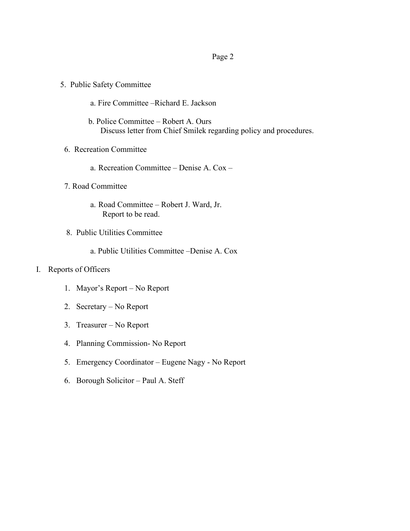### Page 2

- 5. Public Safety Committee
	- a. Fire Committee –Richard E. Jackson
	- b. Police Committee Robert A. Ours Discuss letter from Chief Smilek regarding policy and procedures.
- 6. Recreation Committee
	- a. Recreation Committee Denise A. Cox –
- 7. Road Committee
	- a. Road Committee Robert J. Ward, Jr. Report to be read.
- 8. Public Utilities Committee
	- a. Public Utilities Committee –Denise A. Cox

### I. Reports of Officers

- 1. Mayor's Report No Report
- 2. Secretary No Report
- 3. Treasurer No Report
- 4. Planning Commission- No Report
- 5. Emergency Coordinator Eugene Nagy No Report
- 6. Borough Solicitor Paul A. Steff